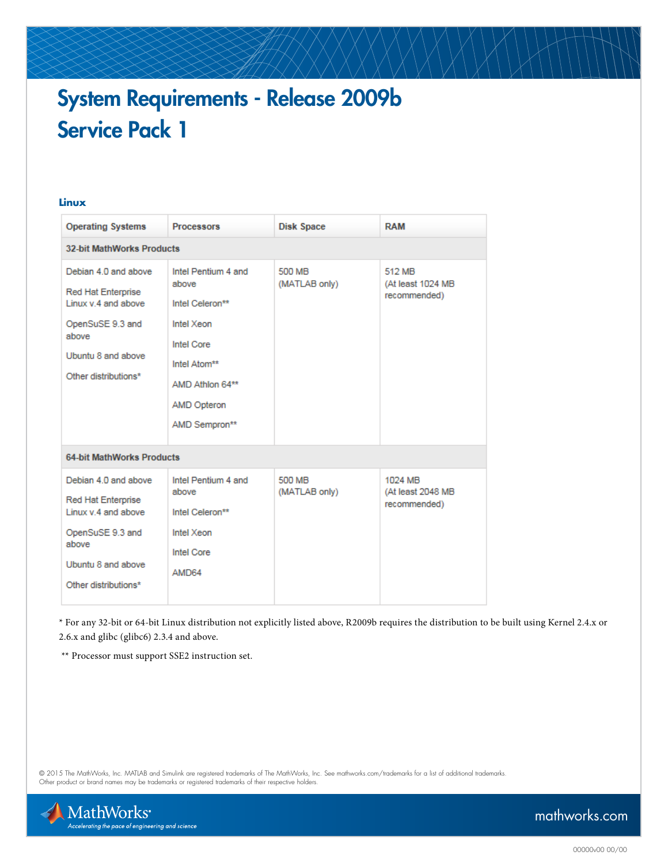# System Requirements - Release 2009b Service Pack 1

#### **Linux**

| <b>Operating Systems</b>                                                                                                                            | <b>Processors</b>                                                                                                                                            | <b>Disk Space</b>       | <b>RAM</b>                                   |
|-----------------------------------------------------------------------------------------------------------------------------------------------------|--------------------------------------------------------------------------------------------------------------------------------------------------------------|-------------------------|----------------------------------------------|
| <b>32-bit MathWorks Products</b>                                                                                                                    |                                                                                                                                                              |                         |                                              |
| Debian 4.0 and above<br>Red Hat Enterprise<br>Linux v.4 and above<br>OpenSuSE 9.3 and<br>above<br>Ubuntu 8 and above<br>Other distributions*        | Intel Pentium 4 and<br>above<br>Intel Celeron**<br>Intel Xeon<br><b>Intel Core</b><br>Intel Atom**<br>AMD Athlon 64**<br><b>AMD Opteron</b><br>AMD Sempron** | 500 MB<br>(MATLAB only) | 512 MB<br>(At least 1024 MB<br>recommended)  |
| <b>64-bit MathWorks Products</b>                                                                                                                    |                                                                                                                                                              |                         |                                              |
| Debian 4.0 and above<br><b>Red Hat Enterprise</b><br>Linux v.4 and above<br>OpenSuSE 9.3 and<br>above<br>Ubuntu 8 and above<br>Other distributions* | Intel Pentium 4 and<br>above<br>Intel Celeron**<br>Intel Xeon<br><b>Intel Core</b><br>AMD64                                                                  | 500 MB<br>(MATLAB only) | 1024 MB<br>(At least 2048 MB<br>recommended) |

\* For any 32-bit or 64-bit Linux distribution not explicitly listed above, R2009b requires the distribution to be built using Kernel 2.4.x or 2.6.x and glibc (glibc6) 2.3.4 and above.

\*\* Processor must support SSE2 instruction set.

© 2015 The MathWorks, Inc. MATLAB and Simulink are registered trademarks of The MathWorks, Inc. See [mathworks.com/trademarks](http://www.mathworks.com/trademarks) for a list of additional trademarks. Other product or brand names may be trademarks or registered trademarks of their respective holders.



## [mathworks.com](http://www.mathworks.com)